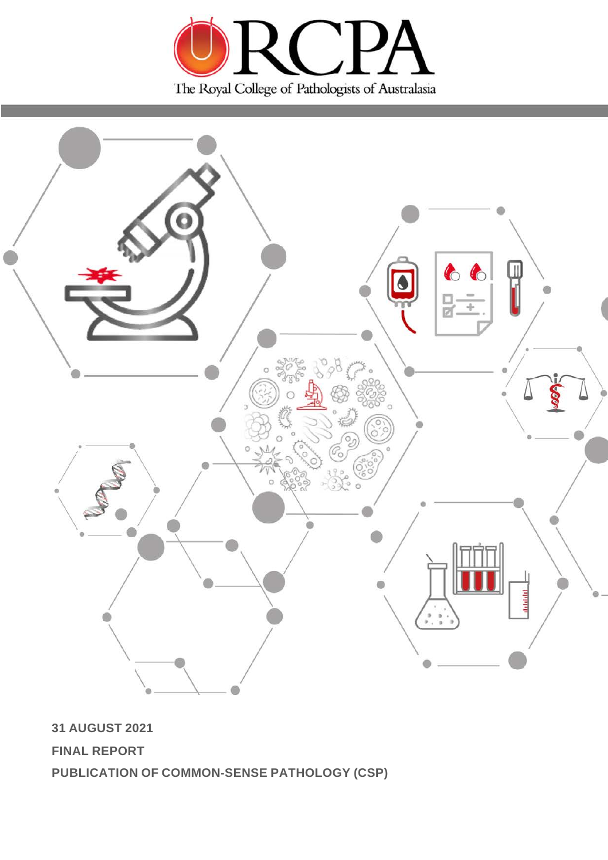



**31 AUGUST 2021**

**FINAL REPORT**

**PUBLICATION OF COMMON-SENSE PATHOLOGY (CSP)**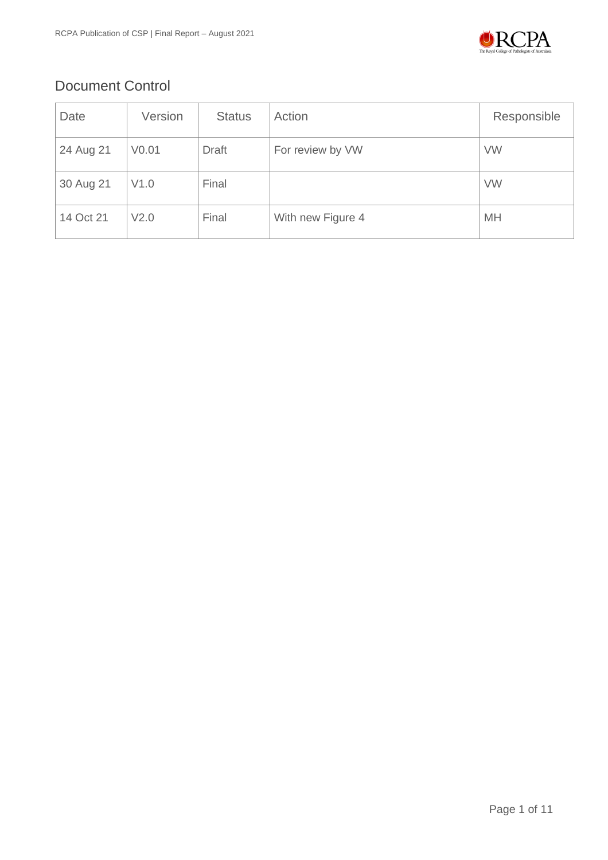

# Document Control

| Date      | Version           | <b>Status</b> | Action            | Responsible |
|-----------|-------------------|---------------|-------------------|-------------|
| 24 Aug 21 | V <sub>0.01</sub> | <b>Draft</b>  | For review by VW  | <b>VW</b>   |
| 30 Aug 21 | V1.0              | Final         |                   | <b>VW</b>   |
| 14 Oct 21 | V <sub>2.0</sub>  | Final         | With new Figure 4 | MH          |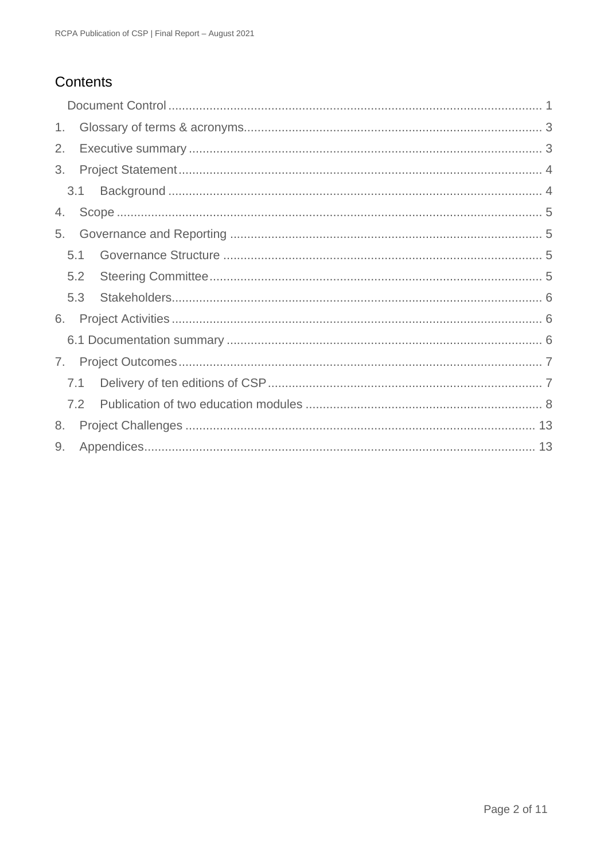# Contents

| 1. |     |  |  |  |  |
|----|-----|--|--|--|--|
| 2. |     |  |  |  |  |
| 3. |     |  |  |  |  |
|    | 3.1 |  |  |  |  |
| 4. |     |  |  |  |  |
| 5. |     |  |  |  |  |
|    | 5.1 |  |  |  |  |
|    | 5.2 |  |  |  |  |
|    | 5.3 |  |  |  |  |
| 6. |     |  |  |  |  |
|    |     |  |  |  |  |
| 7. |     |  |  |  |  |
|    | 7.1 |  |  |  |  |
|    | 7.2 |  |  |  |  |
| 8. |     |  |  |  |  |
| 9. |     |  |  |  |  |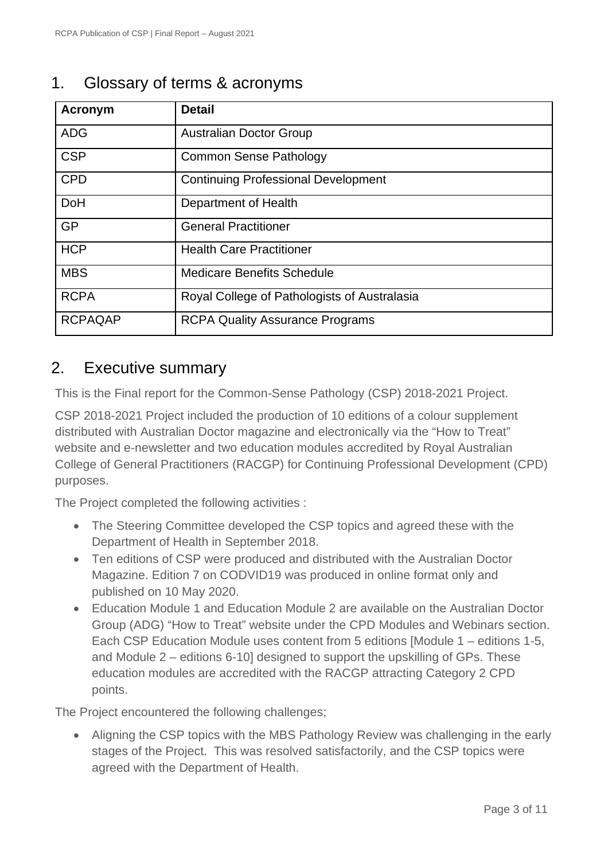# 1. Glossary of terms & acronyms

| Acronym        | <b>Detail</b>                                |
|----------------|----------------------------------------------|
| <b>ADG</b>     | <b>Australian Doctor Group</b>               |
| <b>CSP</b>     | <b>Common Sense Pathology</b>                |
| <b>CPD</b>     | <b>Continuing Professional Development</b>   |
| <b>DoH</b>     | Department of Health                         |
| <b>GP</b>      | <b>General Practitioner</b>                  |
| <b>HCP</b>     | <b>Health Care Practitioner</b>              |
| <b>MBS</b>     | <b>Medicare Benefits Schedule</b>            |
| <b>RCPA</b>    | Royal College of Pathologists of Australasia |
| <b>RCPAQAP</b> | <b>RCPA Quality Assurance Programs</b>       |

### 2. Executive summary

This is the Final report for the Common-Sense Pathology (CSP) 2018-2021 Project.

CSP 2018-2021 Project included the production of 10 editions of a colour supplement distributed with Australian Doctor magazine and electronically via the "How to Treat" website and e-newsletter and two education modules accredited by Royal Australian College of General Practitioners (RACGP) for Continuing Professional Development (CPD) purposes.

The Project completed the following activities :

- The Steering Committee developed the CSP topics and agreed these with the Department of Health in September 2018.
- Ten editions of CSP were produced and distributed with the Australian Doctor Magazine. Edition 7 on CODVID19 was produced in online format only and published on 10 May 2020.
- Education Module 1 and Education Module 2 are available on the Australian Doctor Group (ADG) "How to Treat" website under the CPD Modules and Webinars section. Each CSP Education Module uses content from 5 editions [Module 1 – editions 1-5, and Module 2 – editions 6-10] designed to support the upskilling of GPs. These education modules are accredited with the RACGP attracting Category 2 CPD points.

The Project encountered the following challenges;

• Aligning the CSP topics with the MBS Pathology Review was challenging in the early stages of the Project. This was resolved satisfactorily, and the CSP topics were agreed with the Department of Health.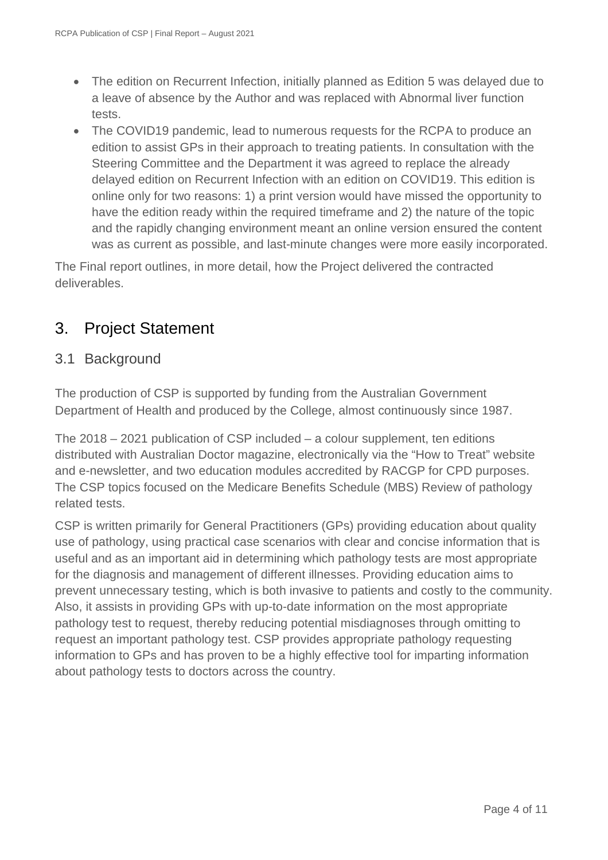- The edition on Recurrent Infection, initially planned as Edition 5 was delayed due to a leave of absence by the Author and was replaced with Abnormal liver function tests.
- The COVID19 pandemic, lead to numerous requests for the RCPA to produce an edition to assist GPs in their approach to treating patients. In consultation with the Steering Committee and the Department it was agreed to replace the already delayed edition on Recurrent Infection with an edition on COVID19. This edition is online only for two reasons: 1) a print version would have missed the opportunity to have the edition ready within the required timeframe and 2) the nature of the topic and the rapidly changing environment meant an online version ensured the content was as current as possible, and last-minute changes were more easily incorporated.

The Final report outlines, in more detail, how the Project delivered the contracted deliverables.

# 3. Project Statement

#### 3.1 Background

The production of CSP is supported by funding from the Australian Government Department of Health and produced by the College, almost continuously since 1987.

The 2018 – 2021 publication of CSP included – a colour supplement, ten editions distributed with Australian Doctor magazine, electronically via the "How to Treat" website and e-newsletter, and two education modules accredited by RACGP for CPD purposes. The CSP topics focused on the Medicare Benefits Schedule (MBS) Review of pathology related tests.

CSP is written primarily for General Practitioners (GPs) providing education about quality use of pathology, using practical case scenarios with clear and concise information that is useful and as an important aid in determining which pathology tests are most appropriate for the diagnosis and management of different illnesses. Providing education aims to prevent unnecessary testing, which is both invasive to patients and costly to the community. Also, it assists in providing GPs with up-to-date information on the most appropriate pathology test to request, thereby reducing potential misdiagnoses through omitting to request an important pathology test. CSP provides appropriate pathology requesting information to GPs and has proven to be a highly effective tool for imparting information about pathology tests to doctors across the country.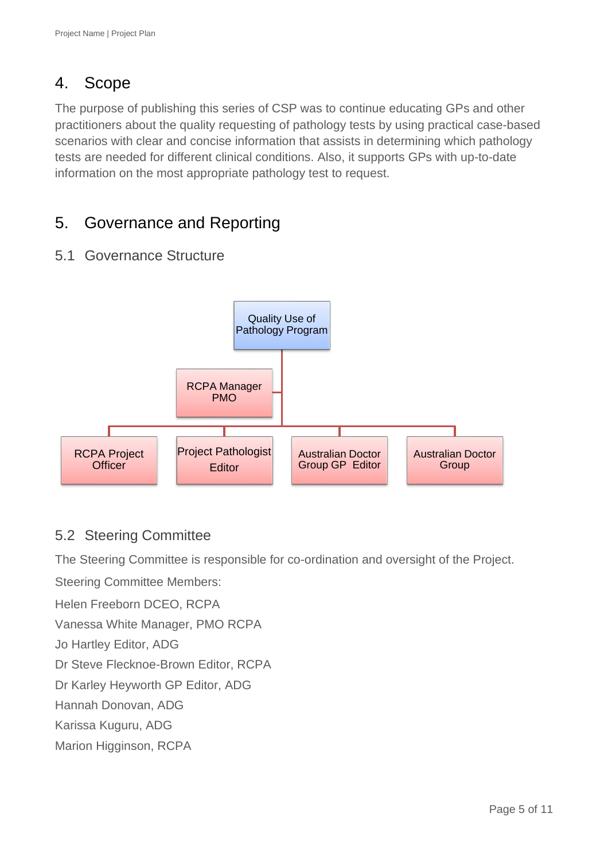# 4. Scope

The purpose of publishing this series of CSP was to continue educating GPs and other practitioners about the quality requesting of pathology tests by using practical case-based scenarios with clear and concise information that assists in determining which pathology tests are needed for different clinical conditions. Also, it supports GPs with up-to-date information on the most appropriate pathology test to request.

# 5. Governance and Reporting

# 5.1 Governance Structure



# 5.2 Steering Committee

The Steering Committee is responsible for co-ordination and oversight of the Project.

Steering Committee Members:

Helen Freeborn DCEO, RCPA

Vanessa White Manager, PMO RCPA

Jo Hartley Editor, ADG

Dr Steve Flecknoe-Brown Editor, RCPA

Dr Karley Heyworth GP Editor, ADG

Hannah Donovan, ADG

Karissa Kuguru, ADG

Marion Higginson, RCPA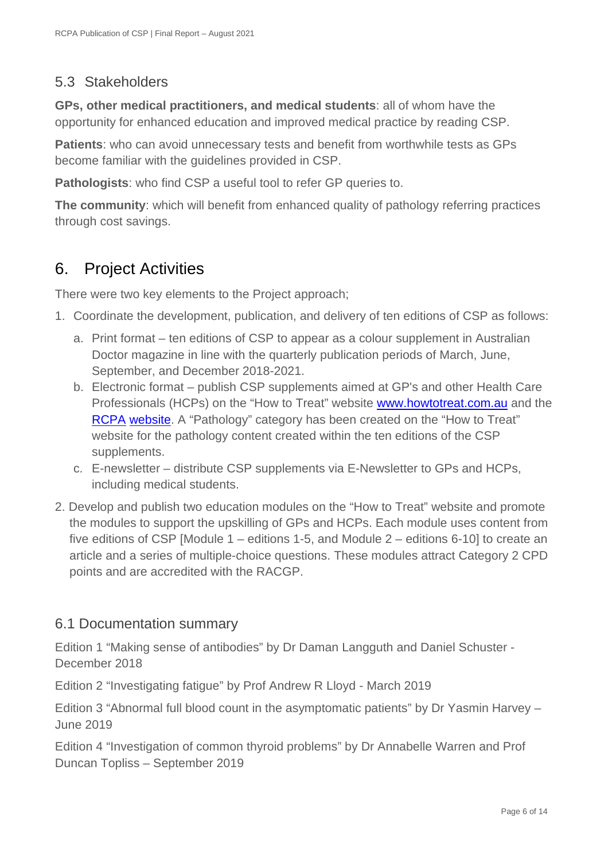#### 5.3 Stakeholders

**GPs, other medical practitioners, and medical students**: all of whom have the opportunity for enhanced education and improved medical practice by reading CSP.

**Patients**: who can avoid unnecessary tests and benefit from worthwhile tests as GPs become familiar with the guidelines provided in CSP.

**Pathologists**: who find CSP a useful tool to refer GP queries to.

**The community**: which will benefit from enhanced quality of pathology referring practices through cost savings.

# 6. Project Activities

There were two key elements to the Project approach;

- 1. Coordinate the development, publication, and delivery of ten editions of CSP as follows:
	- a. Print format ten editions of CSP to appear as a colour supplement in Australian Doctor magazine in line with the quarterly publication periods of March, June, September, and December 2018-2021.
	- b. Electronic format publish CSP supplements aimed at GP's and other Health Care Professionals (HCPs) on the "How to Treat" website [www.howtotreat.com.au](http://www.howtotreat.com.au/) and the [RCPA](https://www.rcpa.edu.au/Library/Publications/Common-Sense-Pathology) [website.](https://www.rcpa.edu.au/Library/Publications/Common-Sense-Pathology) A "Pathology" category has been created on the "How to Treat" website for the pathology content created within the ten editions of the CSP supplements.
	- c. E-newsletter distribute CSP supplements via E-Newsletter to GPs and HCPs, including medical students.
- 2. Develop and publish two education modules on the "How to Treat" website and promote the modules to support the upskilling of GPs and HCPs. Each module uses content from five editions of CSP [Module 1 – editions 1-5, and Module 2 – editions 6-10] to create an article and a series of multiple-choice questions. These modules attract Category 2 CPD points and are accredited with the RACGP.

#### 6.1 Documentation summary

Edition 1 "Making sense of antibodies" by Dr Daman Langguth and Daniel Schuster - December 2018

Edition 2 "Investigating fatigue" by Prof Andrew R Lloyd - March 2019

Edition 3 "Abnormal full blood count in the asymptomatic patients" by Dr Yasmin Harvey – June 2019

Edition 4 "Investigation of common thyroid problems" by Dr Annabelle Warren and Prof Duncan Topliss – September 2019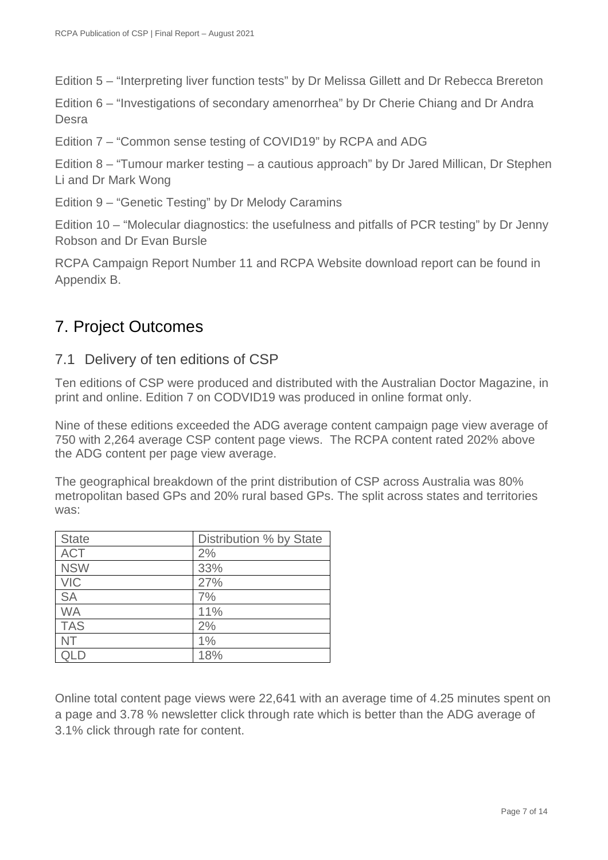Edition 5 – "Interpreting liver function tests" by Dr Melissa Gillett and Dr Rebecca Brereton

Edition 6 – "Investigations of secondary amenorrhea" by Dr Cherie Chiang and Dr Andra Desra

Edition 7 – "Common sense testing of COVID19" by RCPA and ADG

Edition 8 – "Tumour marker testing – a cautious approach" by Dr Jared Millican, Dr Stephen Li and Dr Mark Wong

Edition 9 – "Genetic Testing" by Dr Melody Caramins

Edition 10 – "Molecular diagnostics: the usefulness and pitfalls of PCR testing" by Dr Jenny Robson and Dr Evan Bursle

RCPA Campaign Report Number 11 and RCPA Website download report can be found in Appendix B.

### 7. Project Outcomes

#### 7.1 Delivery of ten editions of CSP

Ten editions of CSP were produced and distributed with the Australian Doctor Magazine, in print and online. Edition 7 on CODVID19 was produced in online format only.

Nine of these editions exceeded the ADG average content campaign page view average of 750 with 2,264 average CSP content page views. The RCPA content rated 202% above the ADG content per page view average.

The geographical breakdown of the print distribution of CSP across Australia was 80% metropolitan based GPs and 20% rural based GPs. The split across states and territories was:

| <b>State</b> | Distribution % by State |
|--------------|-------------------------|
| <b>ACT</b>   | 2%                      |
| <b>NSW</b>   | 33%                     |
| <b>VIC</b>   | 27%                     |
| <b>SA</b>    | 7%                      |
| <b>WA</b>    | 11%                     |
| <b>TAS</b>   | 2%                      |
| <b>NT</b>    | 1%                      |
|              | 18%                     |

Online total content page views were 22,641 with an average time of 4.25 minutes spent on a page and 3.78 % newsletter click through rate which is better than the ADG average of 3.1% click through rate for content.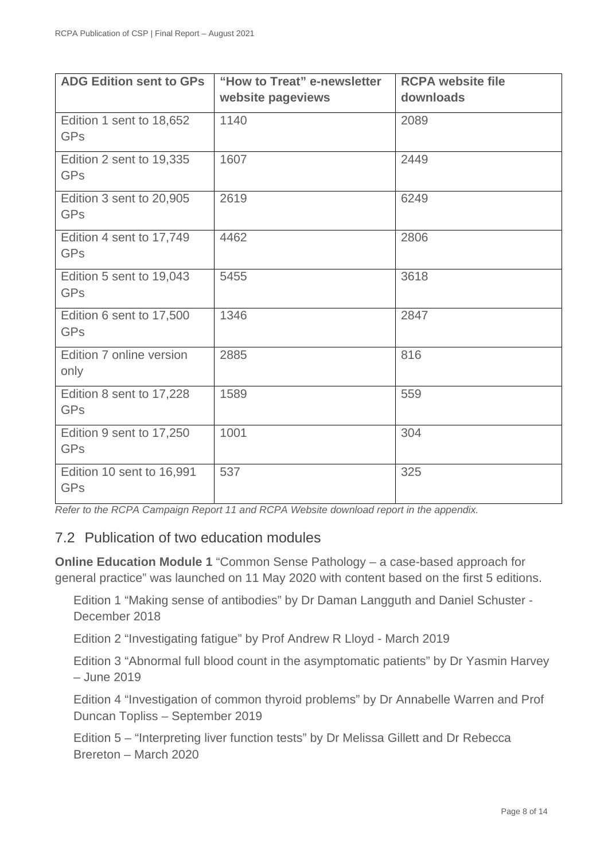| <b>ADG Edition sent to GPs</b>         | "How to Treat" e-newsletter<br>website pageviews | <b>RCPA website file</b><br>downloads |
|----------------------------------------|--------------------------------------------------|---------------------------------------|
| Edition 1 sent to 18,652<br><b>GPs</b> | 1140                                             | 2089                                  |
| Edition 2 sent to 19,335<br><b>GPs</b> | 1607                                             | 2449                                  |
| Edition 3 sent to 20,905<br><b>GPs</b> | 2619                                             | 6249                                  |
| Edition 4 sent to 17,749<br><b>GPs</b> | 4462                                             | 2806                                  |
| Edition 5 sent to 19,043<br><b>GPs</b> | 5455                                             | 3618                                  |
| Edition 6 sent to 17,500<br><b>GPs</b> | 1346                                             | 2847                                  |
| Edition 7 online version<br>only       | 2885                                             | 816                                   |
| Edition 8 sent to 17,228<br><b>GPs</b> | 1589                                             | 559                                   |
| Edition 9 sent to 17,250<br><b>GPs</b> | 1001                                             | 304                                   |
| Edition 10 sent to 16,991<br>GPs       | 537                                              | 325                                   |

*Refer to the RCPA Campaign Report 11 and RCPA Website download report in the appendix.*

#### 7.2 Publication of two education modules

**Online Education Module 1** "Common Sense Pathology – a case-based approach for general practice" was launched on 11 May 2020 with content based on the first 5 editions.

Edition 1 "Making sense of antibodies" by Dr Daman Langguth and Daniel Schuster - December 2018

Edition 2 "Investigating fatigue" by Prof Andrew R Lloyd - March 2019

Edition 3 "Abnormal full blood count in the asymptomatic patients" by Dr Yasmin Harvey – June 2019

Edition 4 "Investigation of common thyroid problems" by Dr Annabelle Warren and Prof Duncan Topliss – September 2019

Edition 5 – "Interpreting liver function tests" by Dr Melissa Gillett and Dr Rebecca Brereton – March 2020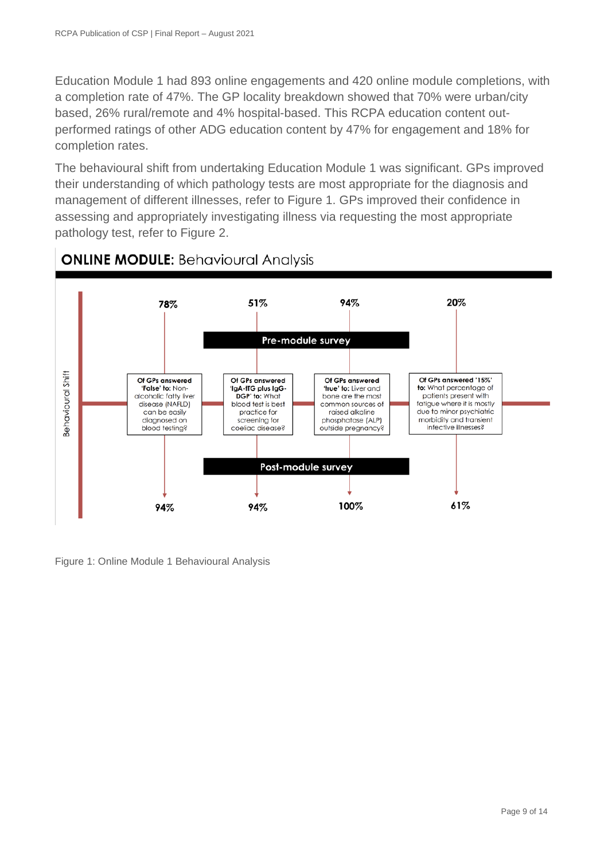Education Module 1 had 893 online engagements and 420 online module completions, with a completion rate of 47%. The GP locality breakdown showed that 70% were urban/city based, 26% rural/remote and 4% hospital-based. This RCPA education content outperformed ratings of other ADG education content by 47% for engagement and 18% for completion rates.

The behavioural shift from undertaking Education Module 1 was significant. GPs improved their understanding of which pathology tests are most appropriate for the diagnosis and management of different illnesses, refer to Figure 1. GPs improved their confidence in assessing and appropriately investigating illness via requesting the most appropriate pathology test, refer to Figure 2.



# **ONLINE MODULE: Behavioural Analysis**

Figure 1: Online Module 1 Behavioural Analysis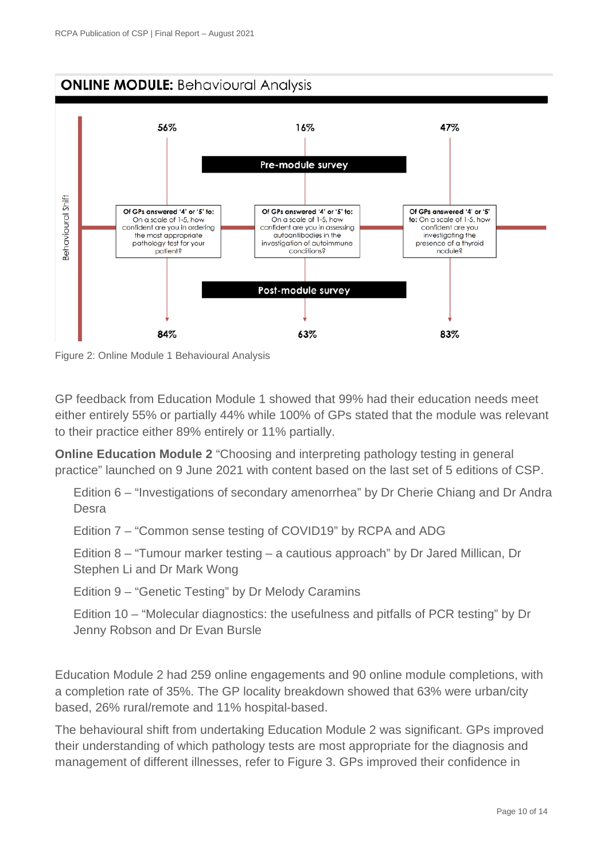

Figure 2: Online Module 1 Behavioural Analysis

GP feedback from Education Module 1 showed that 99% had their education needs meet either entirely 55% or partially 44% while 100% of GPs stated that the module was relevant to their practice either 89% entirely or 11% partially.

**Online Education Module 2** "Choosing and interpreting pathology testing in general practice" launched on 9 June 2021 with content based on the last set of 5 editions of CSP.

Edition 6 – "Investigations of secondary amenorrhea" by Dr Cherie Chiang and Dr Andra **Desra** 

Edition 7 – "Common sense testing of COVID19" by RCPA and ADG

Edition 8 – "Tumour marker testing – a cautious approach" by Dr Jared Millican, Dr Stephen Li and Dr Mark Wong

Edition 9 – "Genetic Testing" by Dr Melody Caramins

Edition 10 – "Molecular diagnostics: the usefulness and pitfalls of PCR testing" by Dr Jenny Robson and Dr Evan Bursle

Education Module 2 had 259 online engagements and 90 online module completions, with a completion rate of 35%. The GP locality breakdown showed that 63% were urban/city based, 26% rural/remote and 11% hospital-based.

The behavioural shift from undertaking Education Module 2 was significant. GPs improved their understanding of which pathology tests are most appropriate for the diagnosis and management of different illnesses, refer to Figure 3. GPs improved their confidence in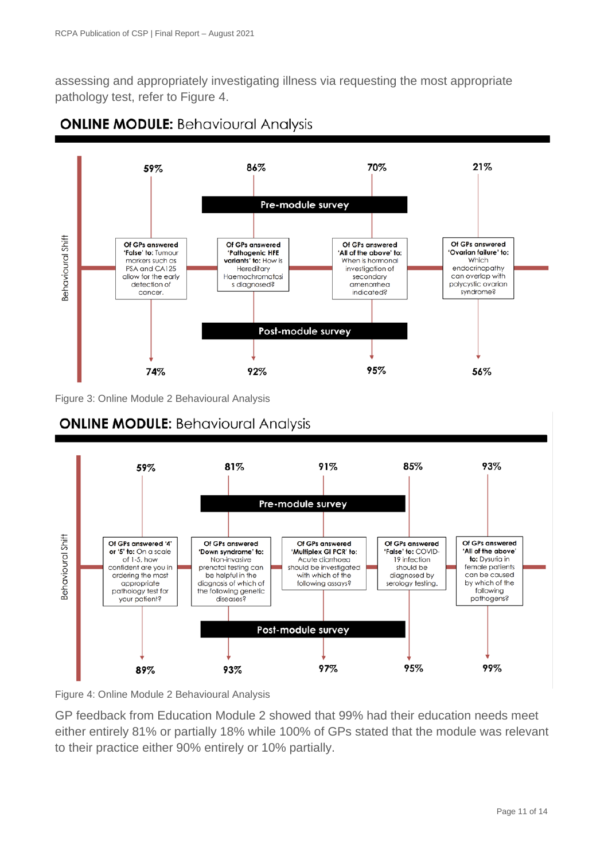assessing and appropriately investigating illness via requesting the most appropriate pathology test, refer to Figure 4.



**ONLINE MODULE: Behavioural Analysis** 

Figure 3: Online Module 2 Behavioural Analysis



Figure 4: Online Module 2 Behavioural Analysis

GP feedback from Education Module 2 showed that 99% had their education needs meet either entirely 81% or partially 18% while 100% of GPs stated that the module was relevant to their practice either 90% entirely or 10% partially.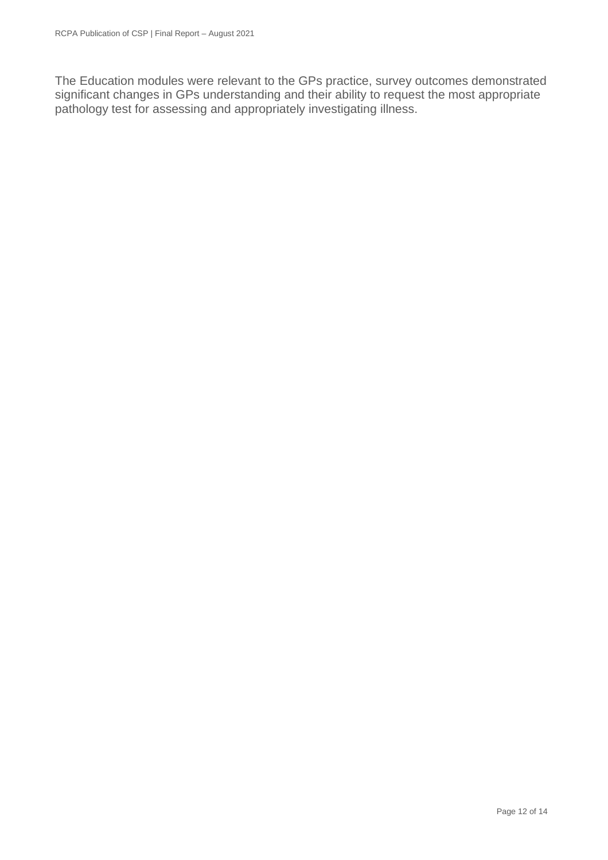The Education modules were relevant to the GPs practice, survey outcomes demonstrated significant changes in GPs understanding and their ability to request the most appropriate pathology test for assessing and appropriately investigating illness.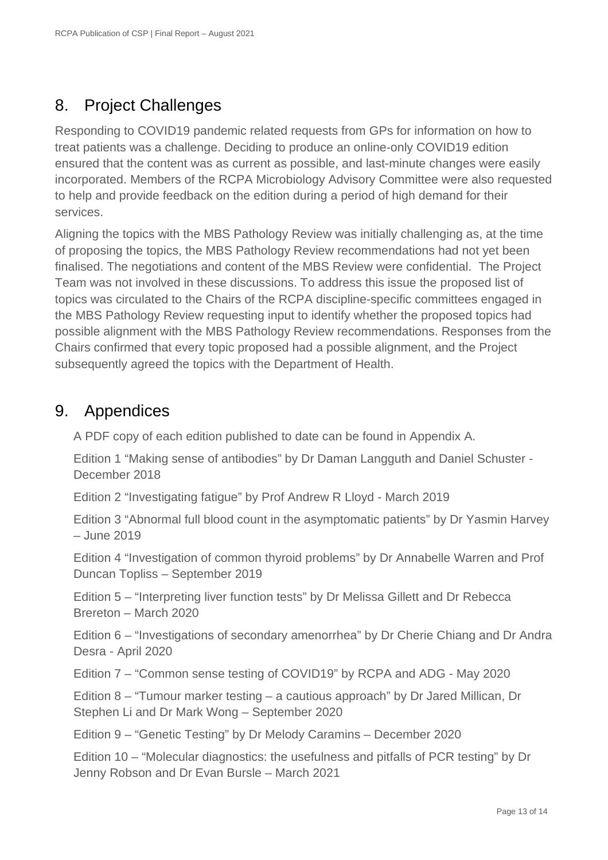# 8. Project Challenges

Responding to COVID19 pandemic related requests from GPs for information on how to treat patients was a challenge. Deciding to produce an online-only COVID19 edition ensured that the content was as current as possible, and last-minute changes were easily incorporated. Members of the RCPA Microbiology Advisory Committee were also requested to help and provide feedback on the edition during a period of high demand for their services.

Aligning the topics with the MBS Pathology Review was initially challenging as, at the time of proposing the topics, the MBS Pathology Review recommendations had not yet been finalised. The negotiations and content of the MBS Review were confidential. The Project Team was not involved in these discussions. To address this issue the proposed list of topics was circulated to the Chairs of the RCPA discipline-specific committees engaged in the MBS Pathology Review requesting input to identify whether the proposed topics had possible alignment with the MBS Pathology Review recommendations. Responses from the Chairs confirmed that every topic proposed had a possible alignment, and the Project subsequently agreed the topics with the Department of Health.

### 9. Appendices

A PDF copy of each edition published to date can be found in Appendix A.

Edition 1 "Making sense of antibodies" by Dr Daman Langguth and Daniel Schuster - December 2018

Edition 2 "Investigating fatigue" by Prof Andrew R Lloyd - March 2019

Edition 3 "Abnormal full blood count in the asymptomatic patients" by Dr Yasmin Harvey – June 2019

Edition 4 "Investigation of common thyroid problems" by Dr Annabelle Warren and Prof Duncan Topliss – September 2019

Edition 5 – "Interpreting liver function tests" by Dr Melissa Gillett and Dr Rebecca Brereton – March 2020

Edition 6 – "Investigations of secondary amenorrhea" by Dr Cherie Chiang and Dr Andra Desra - April 2020

Edition 7 – "Common sense testing of COVID19" by RCPA and ADG - May 2020

Edition 8 – "Tumour marker testing – a cautious approach" by Dr Jared Millican, Dr Stephen Li and Dr Mark Wong – September 2020

Edition 9 – "Genetic Testing" by Dr Melody Caramins – December 2020

Edition 10 – "Molecular diagnostics: the usefulness and pitfalls of PCR testing" by Dr Jenny Robson and Dr Evan Bursle – March 2021